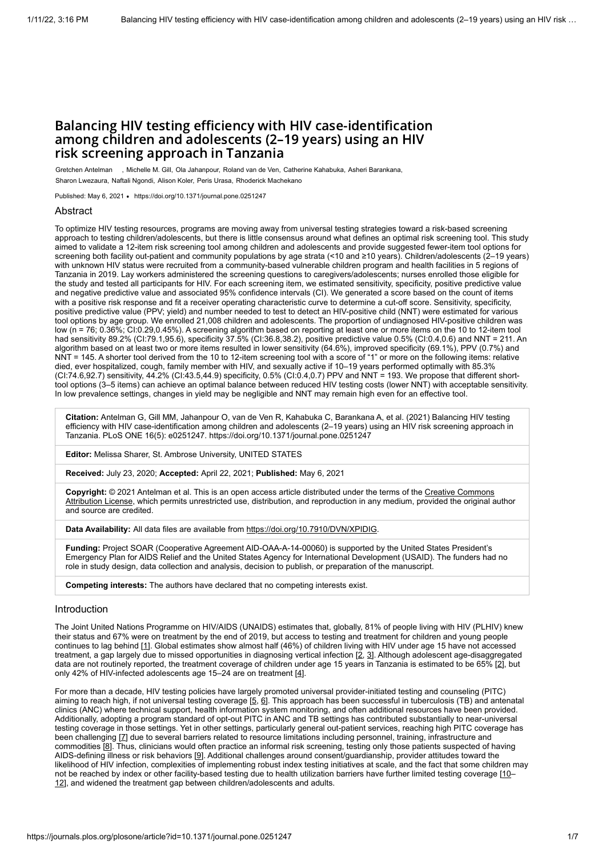# Balancing HIV testing efficiency with HIV case-identification among children and adolescents (2–19 years) using an HIV risk screening approach in Tanzania

Gretchen Antelman , Michelle M. Gill, Ola Jahanpour, Roland van de Ven, Catherine Kahabuka, Asheri Barankana, Sharon Lwezaura, Naftali Ngondi, Alison Koler, Peris Urasa, Rhoderick Machekano

Published: May 6, 2021 • <https://doi.org/10.1371/journal.pone.0251247>

#### Abstract

To optimize HIV testing resources, programs are moving away from universal testing strategies toward a risk-based screening approach to testing children/adolescents, but there is little consensus around what defines an optimal risk screening tool. This study aimed to validate a 12-item risk screening tool among children and adolescents and provide suggested fewer-item tool options for screening both facility out-patient and community populations by age strata (<10 and ≥10 years). Children/adolescents (2–19 years) with unknown HIV status were recruited from a community-based vulnerable children program and health facilities in 5 regions of Tanzania in 2019. Lay workers administered the screening questions to caregivers/adolescents; nurses enrolled those eligible for the study and tested all participants for HIV. For each screening item, we estimated sensitivity, specificity, positive predictive value and negative predictive value and associated 95% confidence intervals (CI). We generated a score based on the count of items with a positive risk response and fit a receiver operating characteristic curve to determine a cut-off score. Sensitivity, specificity, positive predictive value (PPV; yield) and number needed to test to detect an HIV-positive child (NNT) were estimated for various tool options by age group. We enrolled 21,008 children and adolescents. The proportion of undiagnosed HIV-positive children was low (n = 76; 0.36%; CI:0.29,0.45%). A screening algorithm based on reporting at least one or more items on the 10 to 12-item tool had sensitivity 89.2% (CI:79.1,95.6), specificity 37.5% (CI:36.8,38.2), positive predictive value 0.5% (CI:0.4,0.6) and NNT = 211. An algorithm based on at least two or more items resulted in lower sensitivity (64.6%), improved specificity (69.1%), PPV (0.7%) and NNT = 145. A shorter tool derived from the 10 to 12-item screening tool with a score of "1" or more on the following items: relative died, ever hospitalized, cough, family member with HIV, and sexually active if 10–19 years performed optimally with 85.3% (CI:74.6,92.7) sensitivity, 44.2% (CI:43.5,44.9) specificity, 0.5% (CI:0.4,0.7) PPV and NNT = 193. We propose that different shorttool options (3–5 items) can achieve an optimal balance between reduced HIV testing costs (lower NNT) with acceptable sensitivity. In low prevalence settings, changes in yield may be negligible and NNT may remain high even for an effective tool.

**Citation:** Antelman G, Gill MM, Jahanpour O, van de Ven R, Kahabuka C, Barankana A, et al. (2021) Balancing HIV testing efficiency with HIV case-identification among children and adolescents (2–19 years) using an HIV risk screening approach in Tanzania. PLoS ONE 16(5): e0251247. https://doi.org/10.1371/journal.pone.0251247

**Editor:** Melissa Sharer, St. Ambrose University, UNITED STATES

**Received:** July 23, 2020; **Accepted:** April 22, 2021; **Published:** May 6, 2021

**Copyright:** © 2021 Antelman et al. This is an open access article distributed under the terms of the Creative Commons [Attribution License, which permits unrestricted use, distribution, and reproduction in any medium, provided the original a](http://creativecommons.org/licenses/by/4.0/)uthor and source are credited.

Data Availability: All data files are available from<https://doi.org/10.7910/DVN/XPIDIG>.

**Funding:** Project SOAR (Cooperative Agreement AID-OAA-A-14-00060) is supported by the United States President's Emergency Plan for AIDS Relief and the United States Agency for International Development (USAID). The funders had no role in study design, data collection and analysis, decision to publish, or preparation of the manuscript.

**Competing interests:** The authors have declared that no competing interests exist.

#### Introduction

The Joint United Nations Programme on HIV/AIDS (UNAIDS) estimates that, globally, 81% of people living with HIV (PLHIV) knew their status and 67% were on treatment by the end of 2019, but access to testing and treatment for children and young people continues to lag behind [[1](#page-5-0)]. Global estimates show almost half (46%) of children living with HIV under age 15 have not accessed treatment, a gap largely due to missed opportunities in diagnosing vertical infection [[2](#page-5-1), [3](#page-5-2)]. Although adolescent age-disaggregated data are not routinely reported, the treatment coverage of children under age 15 years in Tanzania is estimated to be 65% [[2](#page-5-1)], but only 42% of HIV-infected adolescents age 15-24 are on treatment [\[4\]](#page-5-3).

For more than a decade, HIV testing policies have largely promoted universal provider-initiated testing and counseling (PITC) aiming to reach high, if not universal testing coverage [[5](#page-5-4), [6\]](#page-5-5). This approach has been successful in tuberculosis (TB) and antenatal clinics (ANC) where technical support, health information system monitoring, and often additional resources have been provided. Additionally, adopting a program standard of opt-out PITC in ANC and TB settings has contributed substantially to near-universal testing coverage in those settings. Yet in other settings, particularly general out-patient services, reaching high PITC coverage has been challenging [[7\]](#page-5-6) due to several barriers related to resource limitations including personnel, training, infrastructure and commodities [[8\]](#page-5-7). Thus, clinicians would often practice an informal risk screening, testing only those patients suspected of having AIDS-defining illness or risk behaviors [\[9\]](#page-5-8). Additional challenges around consent/guardianship, provider attitudes toward the likelihood of HIV infection, complexities of implementing robust index testing initiatives at scale, and the fact that some children may not be reached by index or other facility-based testing due to health utilization barriers have further limited testing coverage [\[10](#page-5-9)-[12\]](#page-5-10), and widened the treatment gap between children/adolescents and adults.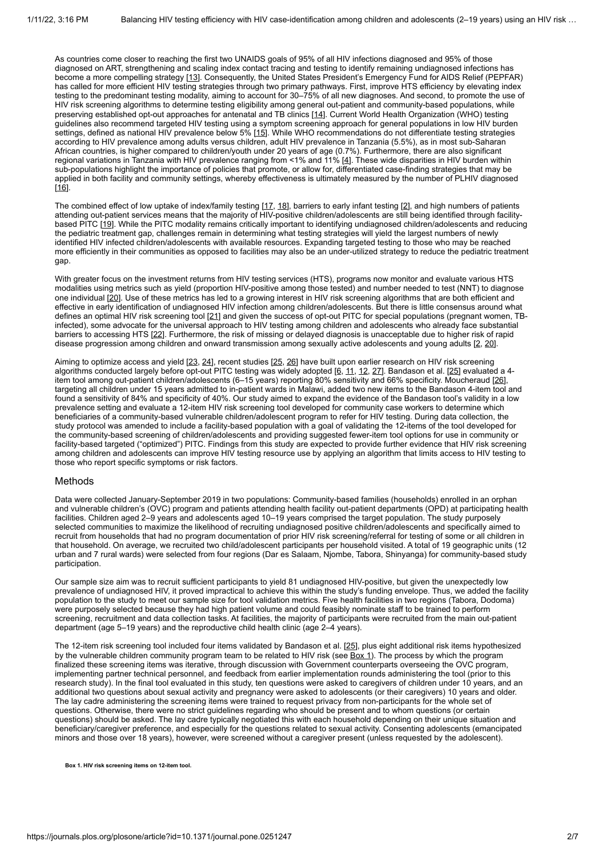As countries come closer to reaching the first two UNAIDS goals of 95% of all HIV infections diagnosed and 95% of those diagnosed on ART, strengthening and scaling index contact tracing and testing to identify remaining undiagnosed infections has become a more compelling strategy [\[13](#page-5-11)]. Consequently, the United States President's Emergency Fund for AIDS Relief (PEPFAR) has called for more efficient HIV testing strategies through two primary pathways. First, improve HTS efficiency by elevating index testing to the predominant testing modality, aiming to account for 30–75% of all new diagnoses. And second, to promote the use of HIV risk screening algorithms to determine testing eligibility among general out-patient and community-based populations, while preserving established opt-out approaches for antenatal and TB clinics [\[14](#page-5-12)]. Current World Health Organization (WHO) testing guidelines also recommend targeted HIV testing using a symptom screening approach for general populations in low HIV burden settings, defined as national HIV prevalence below 5% [[15\]](#page-5-13). While WHO recommendations do not differentiate testing strategies according to HIV prevalence among adults versus children, adult HIV prevalence in Tanzania (5.5%), as in most sub-Saharan African countries, is higher compared to children/youth under 20 years of age (0.7%). Furthermore, there are also significant regional variations in Tanzania with HIV prevalence ranging from <1% and 11% [\[4\]](#page-5-3). These wide disparities in HIV burden within sub-populations highlight the importance of policies that promote, or allow for, differentiated case-finding strategies that may be applied in both facility and community settings, whereby effectiveness is ultimately measured by the number of PLHIV diagnosed [\[16](#page-5-14)].

The combined effect of low uptake of index/family testing [[17](#page-5-15), [18\]](#page-5-16), barriers to early infant testing [\[2\]](#page-5-1), and high numbers of patients attending out-patient services means that the majority of HIV-positive children/adolescents are still being identified through facility-based PITC [[19\]](#page-5-17). While the PITC modality remains critically important to identifying undiagnosed children/adolescents and reducing the pediatric treatment gap, challenges remain in determining what testing strategies will yield the largest numbers of newly identified HIV infected children/adolescents with available resources. Expanding targeted testing to those who may be reached more efficiently in their communities as opposed to facilities may also be an under-utilized strategy to reduce the pediatric treatment gap.

With greater focus on the investment returns from HIV testing services (HTS), programs now monitor and evaluate various HTS modalities using metrics such as yield (proportion HIV-positive among those tested) and number needed to test (NNT) to diagnose one individual <u>[[20\]](#page-6-0)</u>. Use of these metrics has led to a growing interest in HIV risk screening algorithms that are both efficient and effective in early identification of undiagnosed HIV infection among children/adolescents. But there is little consensus around what defines an optimal HIV risk screening tool [[21\]](#page-6-1) and given the success of opt-out PITC for special populations (pregnant women, TBinfected), some advocate for the universal approach to HIV testing among children and adolescents who already face substantial barriers to accessing HTS [[22\]](#page-6-2). Furthermore, the risk of missing or delayed diagnosis is unacceptable due to higher risk of rapid disease progression among children and onward transmission among sexually active adolescents and young adults [\[2,](#page-5-1) [20](#page-6-0)].

Aiming to optimize access and yield [\[23](#page-6-3), [24\]](#page-6-4), recent studies [[25](#page-6-5), [26\]](#page-6-6) have built upon earlier research on HIV risk screening algorithms conducted largely before opt-out PITC testing was widely adopted [[6](#page-5-5), [11](#page-5-18), [12](#page-5-10), [27\]](#page-6-7). Bandason et al. [\[25](#page-6-5)] evaluated a 4item tool among out-patient children/adolescents (6–15 years) reporting 80% sensitivity and 66% specificity. Moucheraud [\[26\]](#page-6-6), targeting all children under 15 years admitted to in-patient wards in Malawi, added two new items to the Bandason 4-item tool and found a sensitivity of 84% and specificity of 40%. Our study aimed to expand the evidence of the Bandason tool's validity in a low prevalence setting and evaluate a 12-item HIV risk screening tool developed for community case workers to determine which beneficiaries of a community-based vulnerable children/adolescent program to refer for HIV testing. During data collection, the study protocol was amended to include a facility-based population with a goal of validating the 12-items of the tool developed for the community-based screening of children/adolescents and providing suggested fewer-item tool options for use in community or facility-based targeted ("optimized") PITC. Findings from this study are expected to provide further evidence that HIV risk screening among children and adolescents can improve HIV testing resource use by applying an algorithm that limits access to HIV testing to those who report specific symptoms or risk factors.

## Methods

Data were collected January-September 2019 in two populations: Community-based families (households) enrolled in an orphan and vulnerable children's (OVC) program and patients attending health facility out-patient departments (OPD) at participating health facilities. Children aged 2–9 years and adolescents aged 10–19 years comprised the target population. The study purposely selected communities to maximize the likelihood of recruiting undiagnosed positive children/adolescents and specifically aimed to recruit from households that had no program documentation of prior HIV risk screening/referral for testing of some or all children in that household. On average, we recruited two child/adolescent participants per household visited. A total of 19 geographic units (12 urban and 7 rural wards) were selected from four regions (Dar es Salaam, Njombe, Tabora, Shinyanga) for community-based study participation.

Our sample size aim was to recruit sufficient participants to yield 81 undiagnosed HIV-positive, but given the unexpectedly low prevalence of undiagnosed HIV, it proved impractical to achieve this within the study's funding envelope. Thus, we added the facility population to the study to meet our sample size for tool validation metrics. Five health facilities in two regions (Tabora, Dodoma) were purposely selected because they had high patient volume and could feasibly nominate staff to be trained to perform<br>were purposely selected because they had high patient volume and could feasibly nominate staff to be t screening, recruitment and data collection tasks. At facilities, the majority of participants were recruited from the main out-patient department (age 5–19 years) and the reproductive child health clinic (age 2–4 years).

The 12-item risk screening tool included four items validated by Bandason et al. [\[25](#page-6-5)], plus eight additional risk items hypothesized by the vulnerable children community program team to be related to HIV risk (see [Box 1\)](#page-1-0). The process by which the program finalized these screening items was iterative, through discussion with Government counterparts overseeing the OVC program. implementing partner technical personnel, and feedback from earlier implementation rounds administering the tool (prior to this research study). In the final tool evaluated in this study, ten questions were asked to caregivers of children under 10 years, and an additional two questions about sexual activity and pregnancy were asked to adolescents (or their caregivers) 10 years and older. The lay cadre administering the screening items were trained to request privacy from non-participants for the whole set of questions. Otherwise, there were no strict guidelines regarding who should be present and to whom questions (or certain questions) should be asked. The lay cadre typically negotiated this with each household depending on their unique situation and beneficiary/caregiver preference, and especially for the questions related to sexual activity. Consenting adolescents (emancipated minors and those over 18 years), however, were screened without a caregiver present (unless requested by the adolescent).

<span id="page-1-0"></span>**Box 1. HIV risk screening items on 12-item tool.**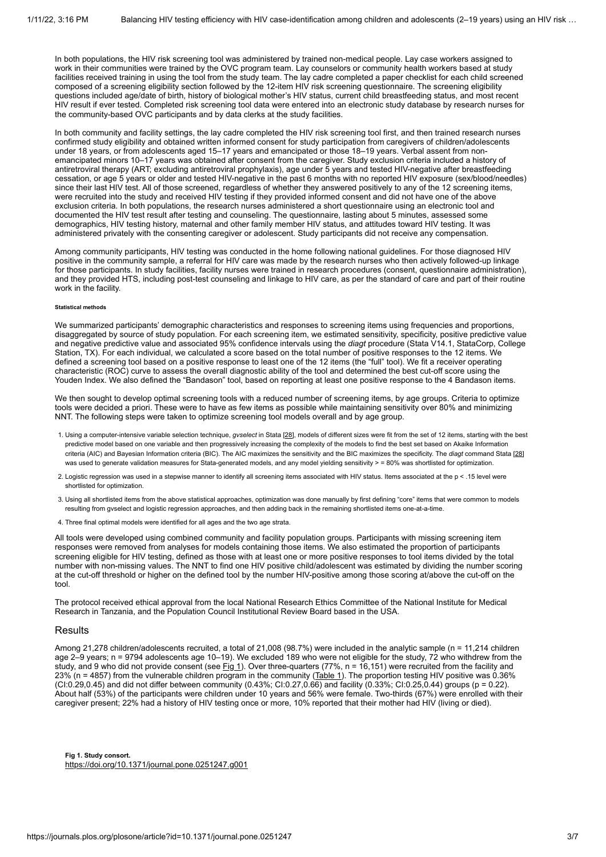In both populations, the HIV risk screening tool was administered by trained non-medical people. Lay case workers assigned to work in their communities were trained by the OVC program team. Lay counselors or community health workers based at study facilities received training in using the tool from the study team. The lay cadre completed a paper checklist for each child screened composed of a screening eligibility section followed by the 12-item HIV risk screening questionnaire. The screening eligibility questions included age/date of birth, history of biological mother's HIV status, current child breastfeeding status, and most recent HIV result if ever tested. Completed risk screening tool data were entered into an electronic study database by research nurses for the community-based OVC participants and by data clerks at the study facilities.

In both community and facility settings, the lay cadre completed the HIV risk screening tool first, and then trained research nurses confirmed study eligibility and obtained written informed consent for study participation from caregivers of children/adolescents under 18 years, or from adolescents aged 15–17 years and emancipated or those 18–19 years. Verbal assent from nonemancipated minors 10–17 years was obtained after consent from the caregiver. Study exclusion criteria included a history of antiretroviral therapy (ART; excluding antiretroviral prophylaxis), age under 5 years and tested HIV-negative after breastfeeding cessation, or age 5 years or older and tested HIV-negative in the past 6 months with no reported HIV exposure (sex/blood/needles) since their last HIV test. All of those screened, regardless of whether they answered positively to any of the 12 screening items, were recruited into the study and received HIV testing if they provided informed consent and did not have one of the above exclusion criteria. In both populations, the research nurses administered a short questionnaire using an electronic tool and documented the HIV test result after testing and counseling. The questionnaire, lasting about 5 minutes, assessed some demographics, HIV testing history, maternal and other family member HIV status, and attitudes toward HIV testing. It was administered privately with the consenting caregiver or adolescent. Study participants did not receive any compensation.

Among community participants, HIV testing was conducted in the home following national guidelines. For those diagnosed HIV positive in the community sample, a referral for HIV care was made by the research nurses who then actively followed-up linkage for those participants. In study facilities, facility nurses were trained in research procedures (consent, questionnaire administration), and they provided HTS, including post-test counseling and linkage to HIV care, as per the standard of care and part of their routine work in the facility.

#### **Statistical methods**

We summarized participants' demographic characteristics and responses to screening items using frequencies and proportions, disaggregated by source of study population. For each screening item, we estimated sensitivity, specificity, positive predictive value and negative predictive value and associated 95% confidence intervals using the *diagt* procedure (Stata V14.1, StataCorp, College Station, TX). For each individual, we calculated a score based on the total number of positive responses to the 12 items. We defined a screening tool based on a positive response to least one of the 12 items (the "full" tool). We fit a receiver operating characteristic (ROC) curve to assess the overall diagnostic ability of the tool and determined the best cut-off score using the Youden Index. We also defined the "Bandason" tool, based on reporting at least one positive response to the 4 Bandason items.

We then sought to develop optimal screening tools with a reduced number of screening items, by age groups. Criteria to optimize tools were decided a priori. These were to have as few items as possible while maintaining sensitivity over 80% and minimizing NNT. The following steps were taken to optimize screening tool models overall and by age group.

- 1. Using a computer-intensive variable selection technique, *gvselect* in Stata [[28](#page-6-8)], models of different sizes were fit from the set of 12 items, starting with the best predictive model based on one variable and then progressively increasing the complexity of the models to find the best set based on Akaike Information criteria (AIC) and Bayesian Information criteria (BIC). The AIC maximizes the sensitivity and the BIC maximizes the specificity. The *diagt* command Stata [\[28](#page-6-8)] was used to generate validation measures for Stata-generated models, and any model yielding sensitivity > = 80% was shortlisted for optimization.
- 2. Logistic regression was used in a stepwise manner to identify all screening items associated with HIV status. Items associated at the p < .15 level were shortlisted for optimization.
- 3. Using all shortlisted items from the above statistical approaches, optimization was done manually by first defining "core" items that were common to models resulting from gvselect and logistic regression approaches, and then adding back in the remaining shortlisted items one-at-a-time.
- 4. Three final optimal models were identified for all ages and the two age strata.

All tools were developed using combined community and facility population groups. Participants with missing screening item responses were removed from analyses for models containing those items. We also estimated the proportion of participants screening eligible for HIV testing, defined as those with at least one or more positive responses to tool items divided by the total number with non-missing values. The NNT to find one HIV positive child/adolescent was estimated by dividing the number scoring at the cut-off threshold or higher on the defined tool by the number HIV-positive among those scoring at/above the cut-off on the tool.

The protocol received ethical approval from the local National Research Ethics Committee of the National Institute for Medical Research in Tanzania, and the Population Council Institutional Review Board based in the USA.

#### Results

Among 21,278 children/adolescents recruited, a total of 21,008 (98.7%) were included in the analytic sample (n = 11,214 children age 2–9 years; n = 9794 adolescents age 10–19). We excluded 189 who were not eligible for the study, 72 who withdrew from the study, and 9 who did not provide consent (see [Fig 1\)](#page-2-0). Over three-quarters (77%,  $n = 16,151$ ) were recruited from the facility and 23% (n = 4857) from the vulnerable children program in the community (<u>Table 1</u>). The proportion testing HIV positive was 0.36% (CI:0.29,0.45) and did not differ between community (0.43%; CI:0.27,0.66) and facility (0.33%; CI:0.25,0.44) groups (p = 0.22). About half (53%) of the participants were children under 10 years and 56% were female. Two-thirds (67%) were enrolled with their caregiver present; 22% had a history of HIV testing once or more, 10% reported that their mother had HIV (living or died).

<span id="page-2-1"></span><span id="page-2-0"></span>**Fig 1. Study consort.** <https://doi.org/10.1371/journal.pone.0251247.g001>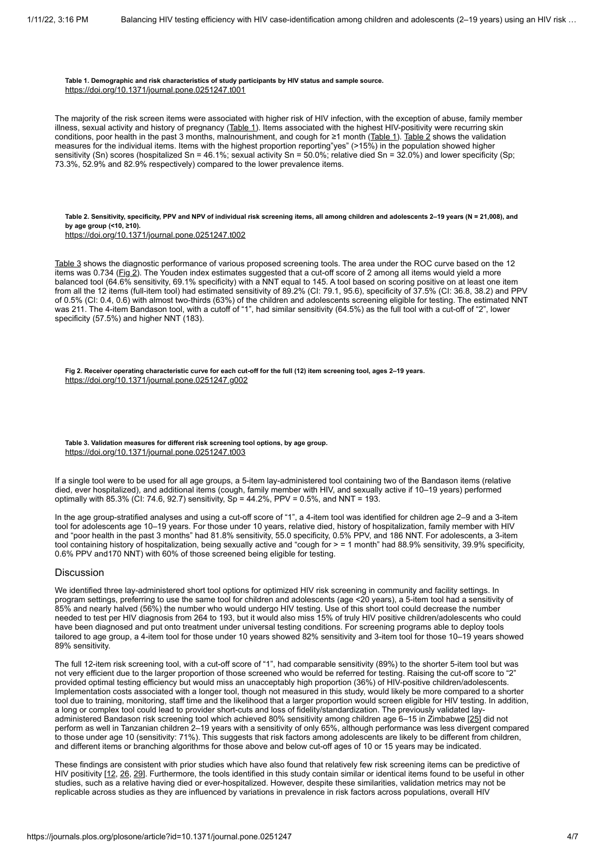**Table 1. Demographic and risk characteristics of study participants by HIV status and sample source.** <https://doi.org/10.1371/journal.pone.0251247.t001>

The majority of the risk screen items were associated with higher risk of HIV infection, with the exception of abuse, family member illness, sexual activity and history of pregnancy [\(Table 1](#page-2-1)). Items associated with the highest HIV-positivity were recurring skin conditions, poor health in the past 3 months, malnourishment, and cough for  $\geq 1$  month ([Table 1](#page-2-1)). [Table 2](#page-3-0) shows the validation measures for the individual items. Items with the highest proportion reporting"yes" (>15%) in the population showed higher sensitivity (Sn) scores (hospitalized Sn = 46.1%; sexual activity Sn = 50.0%; relative died Sn = 32.0%) and lower specificity (Sp; 73.3%, 52.9% and 82.9% respectively) compared to the lower prevalence items.

<span id="page-3-0"></span>**Table 2. Sensitivity, specificity, PPV and NPV of individual risk screening items, all among children and adolescents 2–19 years (N = 21,008), and by age group (<10, ≥10).**

<https://doi.org/10.1371/journal.pone.0251247.t002>

[Table 3](#page-3-1) shows the diagnostic performance of various proposed screening tools. The area under the ROC curve based on the 12 items was 0.734 ( $\underline{Fig 2}$ ). The Youden index estimates suggested that a cut-off score of 2 among all items would yield a more balanced tool (64.6% sensitivity, 69.1% specificity) with a NNT equal to 145. A tool based on scoring positive on at least one item from all the 12 items (full-item tool) had estimated sensitivity of 89.2% (CI: 79.1, 95.6), specificity of 37.5% (CI: 36.8, 38.2) and PPV of 0.5% (CI: 0.4, 0.6) with almost two-thirds (63%) of the children and adolescents screening eligible for testing. The estimated NNT was 211. The 4-item Bandason tool, with a cutoff of "1", had similar sensitivity (64.5%) as the full tool with a cut-off of "2", lower specificity (57.5%) and higher NNT (183).

<span id="page-3-2"></span>**Fig 2. Receiver operating characteristic curve for each cut-off for the full (12) item screening tool, ages 2–19 years.** <https://doi.org/10.1371/journal.pone.0251247.g002>

#### <span id="page-3-1"></span>**Table 3. Validation measures for different risk screening tool options, by age group.** <https://doi.org/10.1371/journal.pone.0251247.t003>

If a single tool were to be used for all age groups, a 5-item lay-administered tool containing two of the Bandason items (relative died, ever hospitalized), and additional items (cough, family member with HIV, and sexually active if 10–19 years) performed optimally with  $85.3\%$  (CI: 74.6, 92.7) sensitivity, Sp = 44.2%, PPV = 0.5%, and NNT = 193.

In the age group-stratified analyses and using a cut-off score of "1", a 4-item tool was identified for children age 2–9 and a 3-item tool for adolescents age 10–19 years. For those under 10 years, relative died, history of hospitalization, family member with HIV and "poor health in the past 3 months" had 81.8% sensitivity, 55.0 specificity, 0.5% PPV, and 186 NNT. For adolescents, a 3-item tool containing history of hospitalization, being sexually active and "cough for > = 1 month" had 88.9% sensitivity, 39.9% specificity, 0.6% PPV and170 NNT) with 60% of those screened being eligible for testing.

## Discussion

We identified three lay-administered short tool options for optimized HIV risk screening in community and facility settings. In program settings, preferring to use the same tool for children and adolescents (age <20 years), a 5-item tool had a sensitivity of 85% and nearly halved (56%) the number who would undergo HIV testing. Use of this short tool could decrease the number needed to test per HIV diagnosis from 264 to 193, but it would also miss 15% of truly HIV positive children/adolescents who could have been diagnosed and put onto treatment under universal testing conditions. For screening programs able to deploy tools tailored to age group, a 4-item tool for those under 10 years showed 82% sensitivity and 3-item tool for those 10–19 years showed 89% sensitivity.

The full 12-item risk screening tool, with a cut-off score of "1", had comparable sensitivity (89%) to the shorter 5-item tool but was not very efficient due to the larger proportion of those screened who would be referred for testing. Raising the cut-off score to "2" provided optimal testing efficiency but would miss an unacceptably high proportion (36%) of HIV-positive children/adolescents. Implementation costs associated with a longer tool, though not measured in this study, would likely be more compared to a shorter tool due to training, monitoring, staff time and the likelihood that a larger proportion would screen eligible for HIV testing. In addition, a long or complex tool could lead to provider short-cuts and loss of fidelity/standardization. The previously validated layadministered Bandason risk screening tool which achieved 80% sensitivity among children age 6–15 in Zimbabwe [[25](#page-6-5)] did not perform as well in Tanzanian children 2–19 years with a sensitivity of only 65%, although performance was less divergent compared to those under age 10 (sensitivity: 71%). This suggests that risk factors among adolescents are likely to be different from children, and different items or branching algorithms for those above and below cut-off ages of 10 or 15 years may be indicated.

These findings are consistent with prior studies which have also found that relatively few risk screening items can be predictive of HIV positivity [[12,](#page-5-10) [26,](#page-6-6) [29\]](#page-6-9). Furthermore, the tools identified in this study contain similar or identical items found to be useful in other studies, such as a relative having died or ever-hospitalized. However, despite these similarities, validation metrics may not be replicable across studies as they are influenced by variations in prevalence in risk factors across populations, overall HIV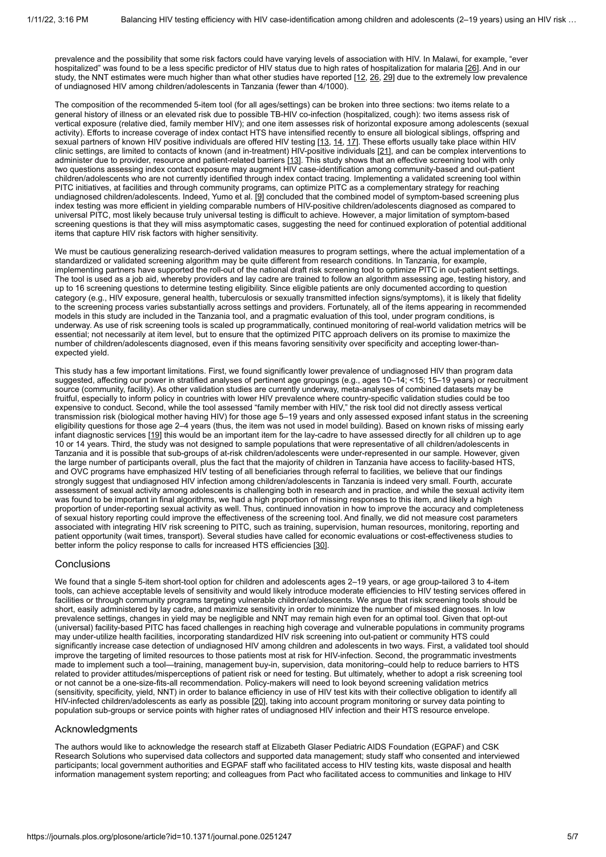prevalence and the possibility that some risk factors could have varying levels of association with HIV. In Malawi, for example, "ever hospitalized" was found to be a less specific predictor of HIV status due to high rates of hospitalization for malaria [\[26](#page-6-6)]. And in our study, the NNT estimates were much higher than what other studies have reported [[12](#page-5-10), [26](#page-6-6), [29\]](#page-6-9) due to the extremely low prevalence of undiagnosed HIV among children/adolescents in Tanzania (fewer than 4/1000).

The composition of the recommended 5-item tool (for all ages/settings) can be broken into three sections: two items relate to a general history of illness or an elevated risk due to possible TB-HIV co-infection (hospitalized, cough): two items assess risk of vertical exposure (relative died, family member HIV); and one item assesses risk of horizontal exposure among adolescents (sexual activity). Efforts to increase coverage of index contact HTS have intensified recently to ensure all biological siblings, offspring and sexual partners of known HIV positive individuals are offered HIV testing [\[13](#page-5-11), [14](#page-5-12), [17\]](#page-5-15). These efforts usually take place within HIV clinic settings, are limited to contacts of known (and in-treatment) HIV-positive individuals [\[21](#page-6-1)], and can be complex interventions to administer due to provider, resource and patient-related barriers [[13](#page-5-11)]. This study shows that an effective screening tool with only two questions assessing index contact exposure may augment HIV case-identification among community-based and out-patient children/adolescents who are not currently identified through index contact tracing. Implementing a validated screening tool within PITC initiatives, at facilities and through community programs, can optimize PITC as a complementary strategy for reaching undiagnosed children/adolescents. Indeed, Yumo et al. [[9](#page-5-8)] concluded that the combined model of symptom-based screening plus index testing was more efficient in yielding comparable numbers of HIV-positive children/adolescents diagnosed as compared to universal PITC, most likely because truly universal testing is difficult to achieve. However, a major limitation of symptom-based screening questions is that they will miss asymptomatic cases, suggesting the need for continued exploration of potential additional items that capture HIV risk factors with higher sensitivity.

We must be cautious generalizing research-derived validation measures to program settings, where the actual implementation of a standardized or validated screening algorithm may be quite different from research conditions. In Tanzania, for example, implementing partners have supported the roll-out of the national draft risk screening tool to optimize PITC in out-patient settings. The tool is used as a job aid, whereby providers and lay cadre are trained to follow an algorithm assessing age, testing history, and up to 16 screening questions to determine testing eligibility. Since eligible patients are only documented according to question category (e.g., HIV exposure, general health, tuberculosis or sexually transmitted infection signs/symptoms), it is likely that fidelity to the screening process varies substantially across settings and providers. Fortunately, all of the items appearing in recommended models in this study are included in the Tanzania tool, and a pragmatic evaluation of this tool, under program conditions, is underway. As use of risk screening tools is scaled up programmatically, continued monitoring of real-world validation metrics will be essential; not necessarily at item level, but to ensure that the optimized PITC approach delivers on its promise to maximize the number of children/adolescents diagnosed, even if this means favoring sensitivity over specificity and accepting lower-thanexpected yield.

This study has a few important limitations. First, we found significantly lower prevalence of undiagnosed HIV than program data suggested, affecting our power in stratified analyses of pertinent age groupings (e.g., ages 10–14; <15; 15–19 years) or recruitment source (community, facility). As other validation studies are currently underway, meta-analyses of combined datasets may be fruitful, especially to inform policy in countries with lower HIV prevalence where country-specific validation studies could be too expensive to conduct. Second, while the tool assessed "family member with HIV," the risk tool did not directly assess vertical transmission risk (biological mother having HIV) for those age 5–19 years and only assessed exposed infant status in the screening eligibility questions for those age 2–4 years (thus, the item was not used in model building). Based on known risks of missing early infant diagnostic services [[19\]](#page-5-17) this would be an important item for the lay-cadre to have assessed directly for all children up to age 10 or 14 years. Third, the study was not designed to sample populations that were representative of all children/adolescents in Tanzania and it is possible that sub-groups of at-risk children/adolescents were under-represented in our sample. However, given the large number of participants overall, plus the fact that the majority of children in Tanzania have access to facility-based HTS, and OVC programs have emphasized HIV testing of all beneficiaries through referral to facilities, we believe that our findings strongly suggest that undiagnosed HIV infection among children/adolescents in Tanzania is indeed very small. Fourth, accurate assessment of sexual activity among adolescents is challenging both in research and in practice, and while the sexual activity item was found to be important in final algorithms, we had a high proportion of missing responses to this item, and likely a high proportion of under-reporting sexual activity as well. Thus, continued innovation in how to improve the accuracy and completeness of sexual history reporting could improve the effectiveness of the screening tool. And finally, we did not measure cost parameters associated with integrating HIV risk screening to PITC, such as training, supervision, human resources, monitoring, reporting and patient opportunity (wait times, transport). Several studies have called for economic evaluations or cost-effectiveness studies to better inform the policy response to calls for increased HTS efficiencies [\[30](#page-6-10)].

# **Conclusions**

We found that a single 5-item short-tool option for children and adolescents ages 2-19 years, or age group-tailored 3 to 4-item tools, can achieve acceptable levels of sensitivity and would likely introduce moderate efficiencies to HIV testing services offered in facilities or through community programs targeting vulnerable children/adolescents. We argue that risk screening tools should be short, easily administered by lay cadre, and maximize sensitivity in order to minimize the number of missed diagnoses. In low prevalence settings, changes in yield may be negligible and NNT may remain high even for an optimal tool. Given that opt-out (universal) facility-based PITC has faced challenges in reaching high coverage and vulnerable populations in community programs may under-utilize health facilities, incorporating standardized HIV risk screening into out-patient or community HTS could significantly increase case detection of undiagnosed HIV among children and adolescents in two ways. First, a validated tool should improve the targeting of limited resources to those patients most at risk for HIV-infection. Second, the programmatic investments made to implement such a tool—training, management buy-in, supervision, data monitoring–could help to reduce barriers to HTS related to provider attitudes/misperceptions of patient risk or need for testing. But ultimately, whether to adopt a risk screening tool or not cannot be a one-size-fits-all recommendation. Policy-makers will need to look beyond screening validation metrics (sensitivity, specificity, yield, NNT) in order to balance efficiency in use of HIV test kits with their collective obligation to identify all HIV-infected children/adolescents as early as possible [[20\]](#page-6-0), taking into account program monitoring or survey data pointing to population sub-groups or service points with higher rates of undiagnosed HIV infection and their HTS resource envelope.

# Acknowledgments

The authors would like to acknowledge the research staff at Elizabeth Glaser Pediatric AIDS Foundation (EGPAF) and CSK Research Solutions who supervised data collectors and supported data management; study staff who consented and interviewed participants; local government authorities and EGPAF staff who facilitated access to HIV testing kits, waste disposal and health information management system reporting; and colleagues from Pact who facilitated access to communities and linkage to HIV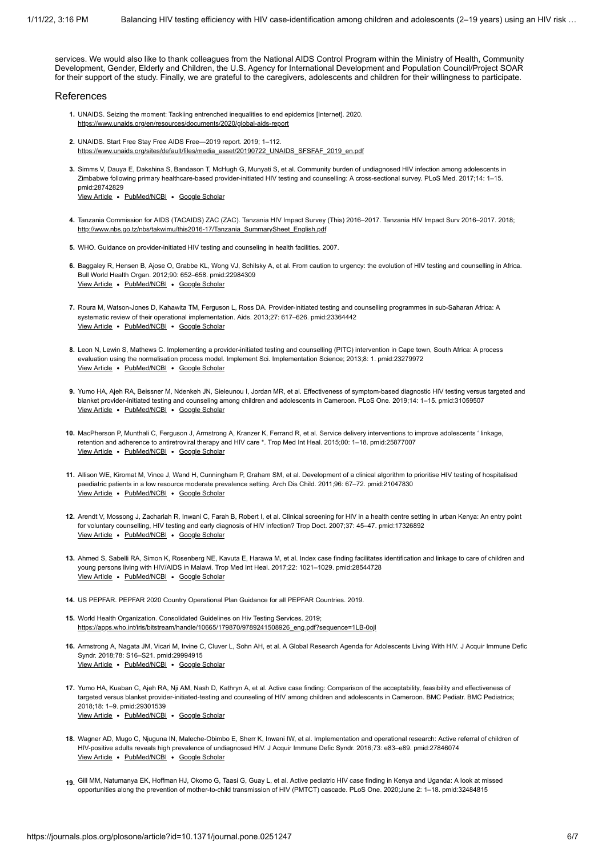services. We would also like to thank colleagues from the National AIDS Control Program within the Ministry of Health, Community Development, Gender, Elderly and Children, the U.S. Agency for International Development and Population Council/Project SOAR for their support of the study. Finally, we are grateful to the caregivers, adolescents and children for their willingness to participate.

### References

- <span id="page-5-0"></span>**1.** UNAIDS. Seizing the moment: Tackling entrenched inequalities to end epidemics [Internet]. 2020. <https://www.unaids.org/en/resources/documents/2020/global-aids-report>
- <span id="page-5-1"></span>**2.** UNAIDS. Start Free Stay Free AIDS Free—2019 report. 2019; 1–112. [https://www.unaids.org/sites/default/files/media\\_asset/20190722\\_UNAIDS\\_SFSFAF\\_2019\\_en.pdf](https://www.unaids.org/sites/default/files/media_asset/20190722_UNAIDS_SFSFAF_2019_en.pdf)
- <span id="page-5-2"></span>**3.** Simms V, Dauya E, Dakshina S, Bandason T, McHugh G, Munyati S, et al. Community burden of undiagnosed HIV infection among adolescents in Zimbabwe following primary healthcare-based provider-initiated HIV testing and counselling: A cross-sectional survey. PLoS Med. 2017;14: 1–15. pmid:28742829

[View Article](https://doi.org/10.1371/journal.pmed.1002360) . [PubMed/NCBI](http://www.ncbi.nlm.nih.gov/pubmed/28742829) . [Google Scholar](http://scholar.google.com/scholar?q=Community+burden+of+undiagnosed+HIV+infection+among+adolescents+in+Zimbabwe+following+primary+healthcare-based+provider-initiated+HIV+testing+and+counselling%3A+A+cross-sectional+survey+Simms+2017)

- <span id="page-5-3"></span>**4.** Tanzania Commission for AIDS (TACAIDS) ZAC (ZAC). Tanzania HIV Impact Survey (This) 2016–2017. Tanzania HIV Impact Surv 2016–2017. 2018; [http://www.nbs.go.tz/nbs/takwimu/this2016-17/Tanzania\\_SummarySheet\\_English.pdf](http://www.nbs.go.tz/nbs/takwimu/this2016-17/Tanzania_SummarySheet_English.pdf)
- <span id="page-5-4"></span>**5.** WHO. Guidance on provider-initiated HIV testing and counseling in health facilities. 2007.
- <span id="page-5-5"></span>**6.** Baggaley R, Hensen B, Ajose O, Grabbe KL, Wong VJ, Schilsky A, et al. From caution to urgency: the evolution of HIV testing and counselling in Africa. [View Article](https://doi.org/10.2471/BLT.11.100818) · [PubMed/NCBI](http://www.ncbi.nlm.nih.gov/pubmed/22984309) · [Google Scholar](http://scholar.google.com/scholar?q=From+caution+to+urgency%3A+the+evolution+of+HIV+testing+and+counselling+in+Africa+Baggaley+2012) Bull World Health Organ. 2012;90: 652–658. pmid:22984309
- <span id="page-5-6"></span>**7.** Roura M, Watson-Jones D, Kahawita TM, Ferguson L, Ross DA. Provider-initiated testing and counselling programmes in sub-Saharan Africa: A [View Article](https://doi.org/10.1097/QAD.0b013e32835b7048) . [PubMed/NCBI](http://www.ncbi.nlm.nih.gov/pubmed/23364442) . [Google Scholar](http://scholar.google.com/scholar?q=Provider-initiated+testing+and+counselling+programmes+in+sub-Saharan+Africa%3A+A+systematic+review+of+their+operational+implementation+Roura+2013) systematic review of their operational implementation. Aids. 2013;27: 617–626. pmid:23364442
- <span id="page-5-7"></span>**8.** Leon N, Lewin S, Mathews C. Implementing a provider-initiated testing and counselling (PITC) intervention in Cape town, South Africa: A process [View Article](https://doi.org/10.1186/1748-5908-8-1) . [PubMed/NCBI](http://www.ncbi.nlm.nih.gov/pubmed/23279972) . [Google Scholar](http://scholar.google.com/scholar?q=Implementing+a+provider-initiated+testing+and+counselling+%28PITC%29+intervention+in+Cape+town%2C+South+Africa%3A+A+process+evaluation+using+the+normalisation+process+model+Leon+2013) evaluation using the normalisation process model. Implement Sci. Implementation Science; 2013;8: 1. pmid:23279972
- <span id="page-5-8"></span>**9.** Yumo HA, Ajeh RA, Beissner M, Ndenkeh JN, Sieleunou I, Jordan MR, et al. Effectiveness of symptom-based diagnostic HIV testing versus targeted and [View Article](https://doi.org/10.1371/journal.pone.0214251) . [PubMed/NCBI](http://www.ncbi.nlm.nih.gov/pubmed/31059507) . [Google Scholar](http://scholar.google.com/scholar?q=Effectiveness+of+symptom-based+diagnostic+HIV+testing+versus+targeted+and+blanket+provider-initiated+testing+and+counseling+among+children+and+adolescents+in+Cameroon+Yumo+2019) blanket provider-initiated testing and counseling among children and adolescents in Cameroon. PLoS One. 2019;14: 1–15. pmid:31059507
- <span id="page-5-9"></span>**10.** MacPherson P, Munthali C, Ferguson J, Armstrong A, Kranzer K, Ferrand R, et al. Service delivery interventions to improve adolescents ' linkage, [View Article](https://doi.org/10.1111/tmi.12517) • [PubMed/NCBI](http://www.ncbi.nlm.nih.gov/pubmed/25877007) • [Google Scholar](http://scholar.google.com/scholar?q=Service+delivery+interventions+to+improve+adolescents+%E2%80%98+linkage%2C+retention+and+adherence+to+antiretroviral+therapy+and+HIV+care+%2A+MacPherson+2015) retention and adherence to antiretroviral therapy and HIV care \*. Trop Med Int Heal. 2015;00: 1–18. pmid:25877007
- <span id="page-5-18"></span>**11.** Allison WE, Kiromat M, Vince J, Wand H, Cunningham P, Graham SM, et al. Development of a clinical algorithm to prioritise HIV testing of hospitalised [View Article](https://doi.org/10.1136/adc.2009.179143) . [PubMed/NCBI](http://www.ncbi.nlm.nih.gov/pubmed/21047830) . [Google Scholar](http://scholar.google.com/scholar?q=Development+of+a+clinical+algorithm+to+prioritise+HIV+testing+of+hospitalised+paediatric+patients+in+a+low+resource+moderate+prevalence+setting+Allison+2011) paediatric patients in a low resource moderate prevalence setting. Arch Dis Child. 2011;96: 67–72. pmid:21047830
- <span id="page-5-10"></span>**12.** Arendt V, Mossong J, Zachariah R, Inwani C, Farah B, Robert I, et al. Clinical screening for HIV in a health centre setting in urban Kenya: An entry point [View Article](https://doi.org/10.1258/004947507779951899) . [PubMed/NCBI](http://www.ncbi.nlm.nih.gov/pubmed/17326892) . [Google Scholar](http://scholar.google.com/scholar?q=Clinical+screening+for+HIV+in+a+health+centre+setting+in+urban+Kenya%3A+An+entry+point+for+voluntary+counselling%2C+HIV+testing+and+early+diagnosis+of+HIV+infection%3F+Arendt+2007) for voluntary counselling, HIV testing and early diagnosis of HIV infection? Trop Doct. 2007;37: 45–47. pmid:17326892
- <span id="page-5-11"></span>**13.** Ahmed S, Sabelli RA, Simon K, Rosenberg NE, Kavuta E, Harawa M, et al. Index case finding facilitates identification and linkage to care of children and [View Article](https://doi.org/10.1111/tmi.12900) . [PubMed/NCBI](http://www.ncbi.nlm.nih.gov/pubmed/28544728) . [Google Scholar](http://scholar.google.com/scholar?q=Index+case+finding+facilitates+identification+and+linkage+to+care+of+children+and+young+persons+living+with+HIV%2FAIDS+in+Malawi+Ahmed+2017) young persons living with HIV/AIDS in Malawi. Trop Med Int Heal. 2017;22: 1021–1029. pmid:28544728
- <span id="page-5-12"></span>**14.** US PEPFAR. PEPFAR 2020 Country Operational Plan Guidance for all PEPFAR Countries. 2019.
- <span id="page-5-13"></span>**15.** World Health Organization. Consolidated Guidelines on Hiv Testing Services. 2019; [https://apps.who.int/iris/bitstream/handle/10665/179870/9789241508926\\_eng.pdf?sequence=1LB-0ojl](https://apps.who.int/iris/bitstream/handle/10665/179870/9789241508926_eng.pdf?sequence=1LB-0ojl)
- <span id="page-5-14"></span>**16.** Armstrong A, Nagata JM, Vicari M, Irvine C, Cluver L, Sohn AH, et al. A Global Research Agenda for Adolescents Living With HIV. J Acquir Immune Defic [View Article](https://doi.org/10.1097/QAI.0000000000001744) · [PubMed/NCBI](http://www.ncbi.nlm.nih.gov/pubmed/29994915) · [Google Scholar](http://scholar.google.com/scholar?q=A+Global+Research+Agenda+for+Adolescents+Living+With+HIV+Armstrong+2018) Syndr. 2018;78: S16–S21. pmid:29994915
- <span id="page-5-15"></span>**17.** Yumo HA, Kuaban C, Ajeh RA, Nji AM, Nash D, Kathryn A, et al. Active case finding: Comparison of the acceptability, feasibility and effectiveness of [View Article](https://doi.org/10.1186/s12887-017-0974-x) · [PubMed/NCBI](http://www.ncbi.nlm.nih.gov/pubmed/29301539) · [Google Scholar](http://scholar.google.com/scholar?q=Active+case+finding%3A+Comparison+of+the+acceptability%2C+feasibility+and+effectiveness+of+targeted+versus+blanket+provider-initiated-testing+and+counseling+of+HIV+among+children+and+adolescents+in+Cameroon+Yumo+2018) targeted versus blanket provider-initiated-testing and counseling of HIV among children and adolescents in Cameroon. BMC Pediatr. BMC Pediatrics; 2018;18: 1–9. pmid:29301539
- <span id="page-5-16"></span>**18.** Wagner AD, Mugo C, Njuguna IN, Maleche-Obimbo E, Sherr K, Inwani IW, et al. Implementation and operational research: Active referral of children of [View Article](https://doi.org/10.1097/QAI.0000000000001184) . [PubMed/NCBI](http://www.ncbi.nlm.nih.gov/pubmed/27846074) . [Google Scholar](http://scholar.google.com/scholar?q=Implementation+and+operational+research%3A+Active+referral+of+children+of+HIV-positive+adults+reveals+high+prevalence+of+undiagnosed+HIV+Wagner+2016) HIV-positive adults reveals high prevalence of undiagnosed HIV. J Acquir Immune Defic Syndr. 2016;73: e83–e89. pmid:27846074
- <span id="page-5-17"></span>**19.** Gill MM, Natumanya EK, Hoffman HJ, Okomo G, Taasi G, Guay L, et al. Active pediatric HIV case finding in Kenya and Uganda: A look at missed opportunities along the prevention of mother-to-child transmission of HIV (PMTCT) cascade. PLoS One. 2020;June 2: 1–18. pmid:32484815